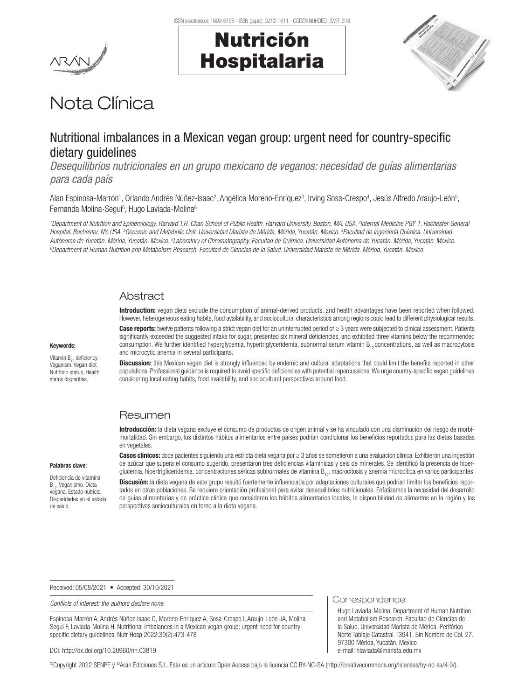



# Nota Clínica

## Nutritional imbalances in a Mexican vegan group: urgent need for country-specific dietary quidelines

*Desequilibrios nutricionales en un grupo mexicano de veganos: necesidad de guías alimentarias para cada país*

Alan Espinosa-Marrón<sup>1</sup>, Orlando Andrés Núñez-Isaac<sup>2</sup>, Angélica Moreno-Enríquez<sup>3</sup>, Irving Sosa-Crespo<sup>4</sup>, Jesús Alfredo Araujo-León<sup>5</sup>, Fernanda Molina-Segui<sup>6</sup>, Hugo Laviada-Molina<sup>6</sup>

*1 Department of Nutrition and Epidemiology. Harvard T.H. Chan School of Public Health. Harvard University. Boston, MA. USA. 2 Internal Medicine PGY 1. Rochester General Hospital. Rochester, NY. USA. 3 Genomic and Metabolic Unit. Universidad Marista de Mérida. Mérida, Yucatán. Mexico. 4 Facultad de Ingeniería Química. Universidad*  Autónoma de Yucatán. Mérida, Yucatán. Mexico. <sup>5</sup>Laboratory of Chromatography. Facultad de Química. Universidad Autónoma de Yucatán. Mérida, Yucatán. Mexico.<br>©Department of Human Nutrition and Metabolism Besearch. Facultad *Department of Human Nutrition and Metabolism Research. Facultad de Ciencias de la Salud. Universidad Marista de Mérida. Mérida, Yucatán. Mexico*

#### Abstract

Introduction: vegan diets exclude the consumption of animal-derived products, and health advantages have been reported when followed. However, heterogeneous eating habits, food availability, and sociocultural characteristics among regions could lead to different physiological results.

Case reports: twelve patients following a strict vegan diet for an uninterrupted period of ≥ 3 years were subjected to clinical assessment. Patients significantly exceeded the suggested intake for sugar, presented six mineral deficiencies, and exhibited three vitamins below the recommended consumption. We further identified hyperglycemia, hypertriglyceridemia, subnormal serum vitamin B<sub>c</sub>, concentrations, as well as macrocytosis and microcytic anemia in several participants.

Vitamin  $B_{12}$  deficiency. Veganism. Vegan diet. Nutrition status. Health

status disparities.

Keywords:

Discussion: this Mexican vegan diet is strongly influenced by endemic and cultural adaptations that could limit the benefits reported in other populations. Professional guidance is required to avoid specific deficiencies with potential repercussions. We urge country-specific vegan guidelines considering local eating habits, food availability, and sociocultural perspectives around food.

## **Resumen**

Introducción: la dieta vegana excluye el consumo de productos de origen animal y se ha vinculado con una disminución del riesgo de morbimortalidad. Sin embargo, los distintos hábitos alimentarios entre países podrían condicionar los beneficios reportados para las dietas basadas en vegetales.

#### Palabras clave:

Deficiencia de vitamina B<sub>12</sub>. Veganismo. Dieta vegana. Estado nutricio. Disparidades en el estado de salud.

Casos clínicos: doce pacientes siguiendo una estricta dieta vegana por ≥ 3 años se sometieron a una evaluación clínica. Exhibieron una ingestión de azúcar que supera el consumo sugerido, presentaron tres deficiencias vitamínicas y seis de minerales. Se identificó la presencia de hiperglucemia, hipertrigliceridemia, concentraciones séricas subnormales de vitamina  $B_{12}$ , macrocitosis y anemia microcítica en varios participantes.

Discusión: la dieta vegana de este grupo resultó fuertemente influenciada por adaptaciones culturales que podrían limitar los beneficios reportados en otras poblaciones. Se requiere orientación profesional para evitar desequilibrios nutricionales. Enfatizamos la necesidad del desarrollo de guías alimentarias y de práctica clínica que consideren los hábitos alimentarios locales, la disponibilidad de alimentos en la región y las perspectivas socioculturales en torno a la dieta vegana.

Received: 05/08/2021 • Accepted: 30/10/2021

*Conflicts of interest: the authors declare none.*

Espinosa-Marrón A, Andrés Núñez-Isaac O, Moreno-Enríquez A, Sosa-Crespo I, Araujo-León JA, Molina-Segui F, Laviada-Molina H. Nutritional imbalances in a Mexican vegan group: urgent need for countryspecific dietary guidelines. Nutr Hosp 2022;39(2):473-478

#### DOI: http://dx.doi.org/10.20960/nh.03819

©Copyright 2022 SENPE y ©Arán Ediciones S.L. Este es un artículo Open Access bajo la licencia CC BY-NC-SA (http://creativecommons.org/licenses/by-nc-sa/4.0/).

Correspondence:

Hugo Laviada-Molina. Department of Human Nutrition and Metabolism Research. Facultad de Ciencias de la Salud. Universidad Marista de Mérida. Periférico Norte Tablaje Catastral 13941, Sin Nombre de Col. 27. 97300 Mérida, Yucatán. Mexico e-mail: hlaviada@marista.edu.mx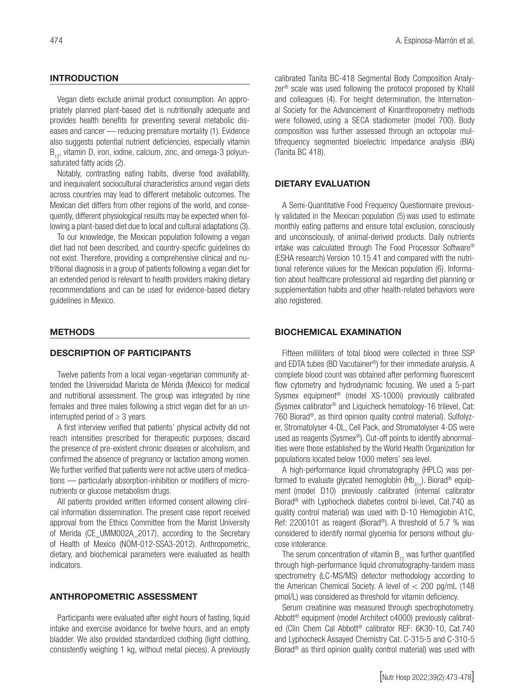#### **INTRODUCTION**

Vegan diets exclude animal product consumption. An appropriately planned plant-based diet is nutritionally adequate and provides health benefits for preventing several metabolic diseases and cancer — reducing premature mortality (1). Evidence also suggests potential nutrient deficiencies, especially vitamin  $B_{12}$ , vitamin D, iron, iodine, calcium, zinc, and omega-3 polyunsaturated fatty acids (2).

Notably, contrasting eating habits, diverse food availability, and inequivalent sociocultural characteristics around vegan diets across countries may lead to different metabolic outcomes. The Mexican diet differs from other regions of the world, and consequently, different physiological results may be expected when following a plant-based diet due to local and cultural adaptations (3).

To our knowledge, the Mexican population following a vegan diet had not been described, and country-specific guidelines do not exist. Therefore, providing a comprehensive clinical and nutritional diagnosis in a group of patients following a vegan diet for an extended period is relevant to health providers making dietary recommendations and can be used for evidence-based dietary guidelines in Mexico.

#### **METHODS**

#### DESCRIPTION OF PARTICIPANTS

Twelve patients from a local vegan-vegetarian community attended the Universidad Marista de Mérida (Mexico) for medical and nutritional assessment. The group was integrated by nine females and three males following a strict vegan diet for an uninterrupted period of  $\geq 3$  years.

A first interview verified that patients' physical activity did not reach intensities prescribed for therapeutic purposes, discard the presence of pre-existent chronic diseases or alcoholism, and confirmed the absence of pregnancy or lactation among women. We further verified that patients were not active users of medications — particularly absorption-inhibition or modifiers of micronutrients or glucose metabolism drugs.

All patients provided written informed consent allowing clinical information dissemination. The present case report received approval from the Ethics Committee from the Marist University of Merida (CE\_UMM002A\_2017), according to the Secretary of Health of Mexico (NOM-012-SSA3-2012). Anthropometric, dietary, and biochemical parameters were evaluated as health indicators.

#### ANTHROPOMETRIC ASSESSMENT

Participants were evaluated after eight hours of fasting, liquid intake and exercise avoidance for twelve hours, and an empty bladder. We also provided standardized clothing (light clothing, consistently weighing 1 kg, without metal pieces). A previously calibrated Tanita BC-418 Segmental Body Composition Analyzer® scale was used following the protocol proposed by Khalil and colleagues (4). For height determination, the International Society for the Advancement of Kinanthropometry methods were followed, using a SECA stadiometer (model 700). Body composition was further assessed through an octopolar multifrequency segmented bioelectric impedance analysis (BIA) (Tanita BC 418).

#### DIETARY EVALUATION

A Semi-Quantitative Food Frequency Questionnaire previously validated in the Mexican population (5) was used to estimate monthly eating patterns and ensure total exclusion, consciously and unconsciously, of animal-derived products. Daily nutrients intake was calculated through The Food Processor Software® (ESHA research) Version 10.15.41 and compared with the nutritional reference values for the Mexican population (6). Information about healthcare professional aid regarding diet planning or supplementation habits and other health-related behaviors were also registered.

#### BIOCHEMICAL EXAMINATION

Fifteen milliliters of total blood were collected in three SSP and EDTA tubes (BD Vacutainer®) for their immediate analysis. A complete blood count was obtained after performing fluorescent flow cytometry and hydrodynamic focusing. We used a 5-part Sysmex equipment® (model XS-1000i) previously calibrated (Sysmex calibrator® and Liquicheck hematology-16 trilevel, Cat: 760 Biorad®, as third opinion quality control material). Sulfolyzer, Stromatolyser 4-DL, Cell Pack, and Stromatolyser 4-DS were used as reagents (Sysmex®). Cut-off points to identify abnormalities were those established by the World Health Organization for populations located below 1000 meters' sea level.

A high-performance liquid chromatography (HPLC) was performed to evaluate glycated hemoglobin  $(Hb_{\Delta1c})$ . Biorad<sup>®</sup> equipment (model D10) previously calibrated (internal calibrator Biorad® with Lyphocheck diabetes control bi-level, Cat.740 as quality control material) was used with D-10 Hemoglobin A1C, Ref: 2200101 as reagent (Biorad®). A threshold of 5.7 % was considered to identify normal glycemia for persons without glucose intolerance.

The serum concentration of vitamin  $B_{12}$  was further quantified through high-performance liquid chromatography-tandem mass spectrometry (LC-MS/MS) detector methodology according to the American Chemical Society. A level of < 200 pg/mL (148 pmol/L) was considered as threshold for vitamin deficiency.

Serum creatinine was measured through spectrophotometry. Abbott® equipment (model Architect c4000) previously calibrated (Clin Chem Cal Abbott® calibrator REF: 6K30-10, Cat.740 and Lyphocheck Assayed Chemistry Cat. C-315-5 and C-310-5 Biorad® as third opinion quality control material) was used with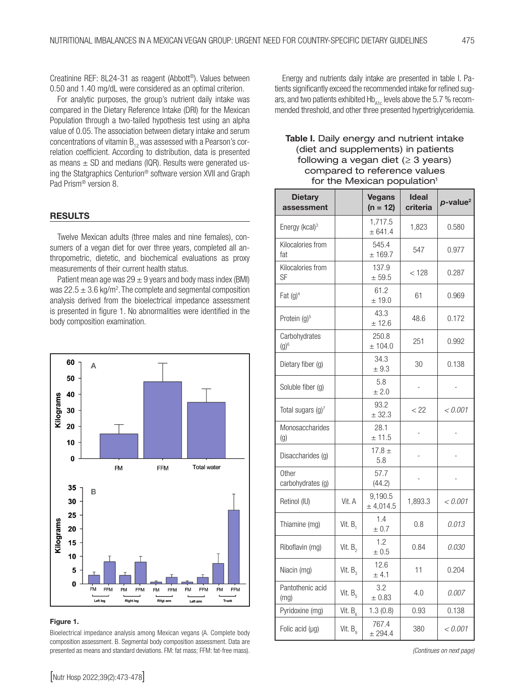Creatinine REF: 8L24-31 as reagent (Abbott®). Values between 0.50 and 1.40 mg/dL were considered as an optimal criterion.

For analytic purposes, the group's nutrient daily intake was compared in the Dietary Reference Intake (DRI) for the Mexican Population through a two-tailed hypothesis test using an alpha value of 0.05. The association between dietary intake and serum concentrations of vitamin  $B_{12}$  was assessed with a Pearson's correlation coefficient. According to distribution, data is presented as means  $\pm$  SD and medians (IQR). Results were generated using the Statgraphics Centurion® software version XVII and Graph Pad Prism® version 8.

#### **RESULTS**

Twelve Mexican adults (three males and nine females), consumers of a vegan diet for over three years, completed all anthropometric, dietetic, and biochemical evaluations as proxy measurements of their current health status.

Patient mean age was  $29 \pm 9$  years and body mass index (BMI) was  $22.5 \pm 3.6$  kg/m<sup>2</sup>. The complete and segmental composition analysis derived from the bioelectrical impedance assessment is presented in figure 1. No abnormalities were identified in the body composition examination.



#### Figure 1.

Bioelectrical impedance analysis among Mexican vegans (A. Complete body composition assessment. B. Segmental body composition assessment. Data are presented as means and standard deviations. FM: fat mass; FFM: fat-free mass). *(Continues on next page) (Continues on next page)* 

Energy and nutrients daily intake are presented in table I. Patients significantly exceed the recommended intake for refined sugars, and two patients exhibited  $Hb_{A1c}$  levels above the 5.7 % recommended threshold, and other three presented hypertriglyceridemia.

#### Table I. Daily energy and nutrient intake (diet and supplements) in patients following a vegan diet  $(≥ 3 \text{ years})$ compared to reference values for the Mexican population<sup>1</sup>

| <b>Dietary</b><br>assessment  |                     | <b>Vegans</b><br>$(n = 12)$ | <b>Ideal</b><br>criteria | $p$ -value <sup>2</sup> |
|-------------------------------|---------------------|-----------------------------|--------------------------|-------------------------|
| Energy (kcal) <sup>3</sup>    |                     | 1,717.5<br>± 641.4          | 1,823                    | 0.580                   |
| Kilocalories from<br>fat      |                     | 545.4<br>± 169.7            | 547                      | 0.977                   |
| Kilocalories from<br>SF       |                     | 137.9<br>± 59.5             | < 128                    | 0.287                   |
| Fat $(g)^4$                   |                     | 61.2<br>$±$ 19.0            | 61                       | 0.969                   |
| Protein (g) <sup>5</sup>      |                     | 43.3<br>± 12.6              | 48.6                     | 0.172                   |
| Carbohydrates<br>$(g)^6$      |                     | 250.8<br>± 104.0            | 251                      | 0.992                   |
| Dietary fiber (g)             |                     | 34.3<br>± 9.3               | 30                       | 0.138                   |
| Soluble fiber (g)             |                     | 5.8<br>± 2.0                |                          |                         |
| Total sugars (g) <sup>7</sup> |                     | 93.2<br>± 32.3              | < 22                     | < 0.001                 |
| Monosaccharides<br>(g)        |                     | 28.1<br>± 11.5              |                          |                         |
| Disaccharides (g)             |                     | 17.8 $\pm$<br>5.8           | L,                       | L,                      |
| Other<br>carbohydrates (g)    |                     | 57.7<br>(44.2)              | -                        |                         |
| Retinol (IU)                  | Vit. A              | 9,190.5<br>± 4,014.5        | 1,893.3                  | < 0.001                 |
| Thiamine (mg)                 | Vit. B,             | 1.4<br>± 0.7                | 0.8                      | 0.013                   |
| Riboflavin (mg)               | Vit. $B_2$          | 1.2<br>± 0.5                | 0.84                     | 0.030                   |
| Niacin (mg)                   | Vit. B <sub>3</sub> | 12.6<br>± 4.1               | 11                       | 0.204                   |
| Pantothenic acid<br>(mg)      | Vit. $B_5$          | 3.2<br>± 0.83               | 4.0                      | 0.007                   |
| Pyridoxine (mg)               | Vit. $B_6$          | 1.3(0.8)                    | 0.93                     | 0.138                   |
| Folic acid (µg)               | Vit. $B_{q}$        | 767.4<br>± 294.4            | 380                      | < 0.001                 |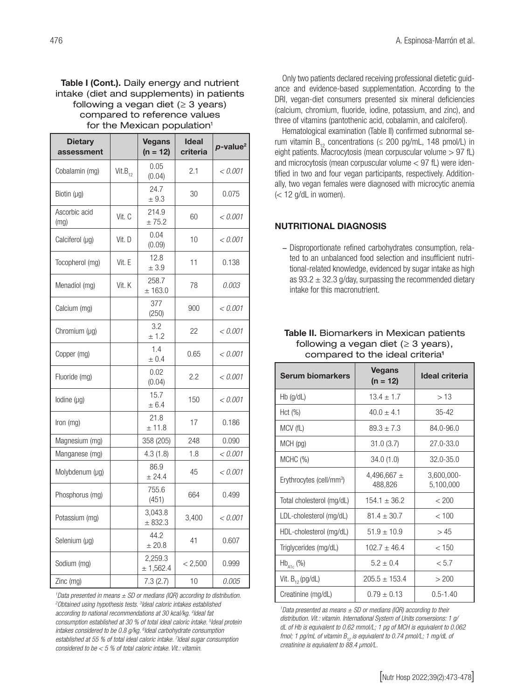#### Table I (Cont.). Daily energy and nutrient intake (diet and supplements) in patients following a vegan diet  $(≥ 3 years)$ compared to reference values for the Mexican population<sup>1</sup>

| <b>Dietary</b><br>assessment |              | <b>Vegans</b><br>$(n = 12)$ | <b>Ideal</b><br>criteria | $p$ -value <sup>2</sup> |
|------------------------------|--------------|-----------------------------|--------------------------|-------------------------|
| Cobalamin (mg)               | $Vit.B_{12}$ | 0.05<br>(0.04)              | 2.1                      | < 0.001                 |
| Biotin (µg)                  |              | 24.7<br>± 9.3               | 30                       | 0.075                   |
| Ascorbic acid<br>(mg)        | Vit. C       | 214.9<br>± 75.2             | 60                       | < 0.001                 |
| Calciferol (µg)              | Vit. D       | 0.04<br>(0.09)              | 10                       | < 0.001                 |
| Tocopherol (mg)              | Vit. E       | 12.8<br>± 3.9               | 11                       | 0.138                   |
| Menadiol (mg)                | Vit. K       | 258.7<br>± 163.0            | 78                       | 0.003                   |
| Calcium (mg)                 |              | 377<br>(250)                | 900                      | < 0.001                 |
| Chromium $(\mu q)$           |              | 3.2<br>± 1.2                | 22                       | < 0.001                 |
| Copper (mg)                  |              | 1.4<br>± 0.4                | 0.65                     | < 0.001                 |
| Fluoride (mg)                |              | 0.02<br>(0.04)              | 2.2                      | < 0.001                 |
| lodine $(\mu q)$             |              | 15.7<br>± 6.4               | 150                      | < 0.001                 |
| Iron (mg)                    |              | 21.8<br>± 11.8              | 17                       | 0.186                   |
| Magnesium (mg)               |              | 358 (205)                   | 248                      | 0.090                   |
| Manganese (mg)               |              | 4.3(1.8)                    | 1.8                      | < 0.001                 |
| Molybdenum (µg)              |              | 86.9<br>± 24.4              | 45                       | < 0.001                 |
| Phosphorus (mg)              |              | 755.6<br>(451)              | 664                      | 0.499                   |
| Potassium (mg)               |              | 3.043.8<br>± 832.3          | 3,400                    | < 0.001                 |
| Selenium (µg)                |              | 44.2<br>± 20.8              | 41                       | 0.607                   |
| Sodium (mg)                  |              | 2.259.3<br>± 1,562.4        | < 2,500                  | 0.999                   |
| Zinc (mg)                    |              | 7.3(2.7)                    | 10                       | 0.005                   |

*1 Data presented in means ± SD or medians (IQR) according to distribution. 2 Obtained using hypothesis tests. 3 Ideal caloric intakes established according to national recommendations at 30 kcal/kg. 4 Ideal fat consumption established at 30 % of total ideal caloric intake. 5 Ideal protein intakes considered to be 0.8 g/kg. 6 Ideal carbohydrate consumption established at 55 % of total ideal caloric intake. 7 Ideal sugar consumption considered to be < 5 % of total caloric intake. Vit.: vitamin.*

Only two patients declared receiving professional dietetic guidance and evidence-based supplementation. According to the DRI, vegan-diet consumers presented six mineral deficiencies (calcium, chromium, fluoride, iodine, potassium, and zinc), and three of vitamins (pantothenic acid, cobalamin, and calciferol).

Hematological examination (Table II) confirmed subnormal serum vitamin  $B_{12}$  concentrations ( $\leq$  200 pg/mL, 148 pmol/L) in eight patients. Macrocytosis (mean corpuscular volume > 97 fL) and microcytosis (mean corpuscular volume < 97 fL) were identified in two and four vegan participants, respectively. Additionally, two vegan females were diagnosed with microcytic anemia  $\ll$  12 g/dL in women).

### NUTRITIONAL DIAGNOSIS

− Disproportionate refined carbohydrates consumption, related to an unbalanced food selection and insufficient nutritional-related knowledge, evidenced by sugar intake as high as  $93.2 \pm 32.3$  g/day, surpassing the recommended dietary intake for this macronutrient.

#### Table II. Biomarkers in Mexican patients following a vegan diet  $(≥ 3 \text{ years}),$ compared to the ideal criteria1

| Serum biomarkers                     | <b>Vegans</b><br>$(n = 12)$ | Ideal criteria          |
|--------------------------------------|-----------------------------|-------------------------|
| Hb (g/dL)                            | $13.4 \pm 1.7$              | >13                     |
| Hct (%)                              | $40.0 \pm 4.1$              | 35-42                   |
| MCV (fL)                             | $89.3 \pm 7.3$              | 84.0-96.0               |
| MCH (pg)                             | 31.0(3.7)                   | $27.0 - 33.0$           |
| MCHC (%)                             | 34.0 (1.0)                  | $32.0 - 35.0$           |
| Erythrocytes (cell/mm <sup>3</sup> ) | 4,496,667 $\pm$<br>488,826  | 3,600,000-<br>5,100,000 |
| Total cholesterol (mg/dL)            | $154.1 \pm 36.2$            | < 200                   |
| LDL-cholesterol (mg/dL)              | $81.4 + 30.7$               | < 100                   |
| HDL-cholesterol (mg/dL)              | $51.9 \pm 10.9$             | >45                     |
| Triglycerides (mg/dL)                | $102.7 \pm 46.4$            | < 150                   |
| $\mathsf{Hb}_{\mathsf{A1c}}$ (%)     | $5.2 \pm 0.4$               | < 5.7                   |
| Vit. $B_{12}$ (pg/dL)                | $205.5 \pm 153.4$           | >200                    |
| Creatinine (mg/dL)                   | $0.79 \pm 0.13$             | $0.5 - 1.40$            |

*1 Data presented as means ± SD or medians (IQR) according to their distribution. Vit.: vitamin. International System of Units conversions: 1 g/ dL of Hb is equivalent to 0.62 mmol/L; 1 pg of MCH is equivalent to 0.062 fmol; 1 pg/mL of vitamin*  $B_{12}$  *is equivalent to 0.74 pmol/L; 1 mg/dL of creatinine is equivalent to 88.4 µmol/L.*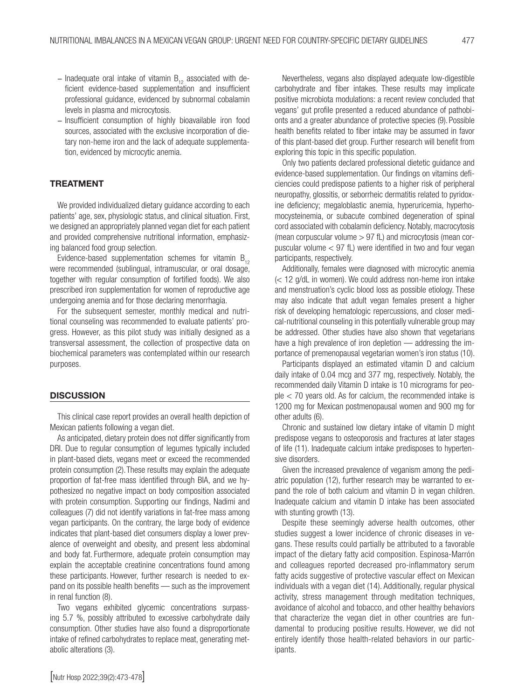- $-$  Inadequate oral intake of vitamin  $B_{12}$  associated with deficient evidence-based supplementation and insufficient professional guidance, evidenced by subnormal cobalamin levels in plasma and microcytosis.
- − Insufficient consumption of highly bioavailable iron food sources, associated with the exclusive incorporation of dietary non-heme iron and the lack of adequate supplementation, evidenced by microcytic anemia.

### TREATMENT

We provided individualized dietary guidance according to each patients' age, sex, physiologic status, and clinical situation. First, we designed an appropriately planned vegan diet for each patient and provided comprehensive nutritional information, emphasizing balanced food group selection.

Evidence-based supplementation schemes for vitamin  $B_{12}$ were recommended (sublingual, intramuscular, or oral dosage, together with regular consumption of fortified foods). We also prescribed iron supplementation for women of reproductive age undergoing anemia and for those declaring menorrhagia.

For the subsequent semester, monthly medical and nutritional counseling was recommended to evaluate patients' progress. However, as this pilot study was initially designed as a transversal assessment, the collection of prospective data on biochemical parameters was contemplated within our research purposes.

#### **DISCUSSION**

This clinical case report provides an overall health depiction of Mexican patients following a vegan diet.

As anticipated, dietary protein does not differ significantly from DRI. Due to regular consumption of legumes typically included in plant-based diets, vegans meet or exceed the recommended protein consumption (2).These results may explain the adequate proportion of fat-free mass identified through BIA, and we hypothesized no negative impact on body composition associated with protein consumption. Supporting our findings, Nadimi and colleagues (7) did not identify variations in fat-free mass among vegan participants. On the contrary, the large body of evidence indicates that plant-based diet consumers display a lower prevalence of overweight and obesity, and present less abdominal and body fat. Furthermore, adequate protein consumption may explain the acceptable creatinine concentrations found among these participants. However, further research is needed to expand on its possible health benefits — such as the improvement in renal function (8).

Two vegans exhibited glycemic concentrations surpassing 5.7 %, possibly attributed to excessive carbohydrate daily consumption. Other studies have also found a disproportionate intake of refined carbohydrates to replace meat, generating metabolic alterations (3).

Nevertheless, vegans also displayed adequate low-digestible carbohydrate and fiber intakes. These results may implicate positive microbiota modulations: a recent review concluded that vegans' gut profile presented a reduced abundance of pathobionts and a greater abundance of protective species (9).Possible health benefits related to fiber intake may be assumed in favor of this plant-based diet group. Further research will benefit from exploring this topic in this specific population.

Only two patients declared professional dietetic guidance and evidence-based supplementation. Our findings on vitamins deficiencies could predispose patients to a higher risk of peripheral neuropathy, glossitis, or seborrheic dermatitis related to pyridoxine deficiency; megaloblastic anemia, hyperuricemia, hyperhomocysteinemia, or subacute combined degeneration of spinal cord associated with cobalamin deficiency. Notably, macrocytosis (mean corpuscular volume > 97 fL) and microcytosis (mean corpuscular volume < 97 fL) were identified in two and four vegan participants, respectively.

Additionally, females were diagnosed with microcytic anemia (< 12 g/dL in women). We could address non-heme iron intake and menstruation's cyclic blood loss as possible etiology. These may also indicate that adult vegan females present a higher risk of developing hematologic repercussions, and closer medical-nutritional counseling in this potentially vulnerable group may be addressed. Other studies have also shown that vegetarians have a high prevalence of iron depletion — addressing the importance of premenopausal vegetarian women's iron status (10).

Participants displayed an estimated vitamin D and calcium daily intake of 0.04 mcg and 377 mg, respectively. Notably, the recommended daily Vitamin D intake is 10 micrograms for people < 70 years old. As for calcium, the recommended intake is 1200 mg for Mexican postmenopausal women and 900 mg for other adults (6).

Chronic and sustained low dietary intake of vitamin D might predispose vegans to osteoporosis and fractures at later stages of life (11). Inadequate calcium intake predisposes to hypertensive disorders.

Given the increased prevalence of veganism among the pediatric population (12), further research may be warranted to expand the role of both calcium and vitamin D in vegan children. Inadequate calcium and vitamin D intake has been associated with stunting growth (13).

Despite these seemingly adverse health outcomes, other studies suggest a lower incidence of chronic diseases in vegans. These results could partially be attributed to a favorable impact of the dietary fatty acid composition. Espinosa-Marrón and colleagues reported decreased pro-inflammatory serum fatty acids suggestive of protective vascular effect on Mexican individuals with a vegan diet (14). Additionally, regular physical activity, stress management through meditation techniques, avoidance of alcohol and tobacco, and other healthy behaviors that characterize the vegan diet in other countries are fundamental to producing positive results. However, we did not entirely identify those health-related behaviors in our participants.